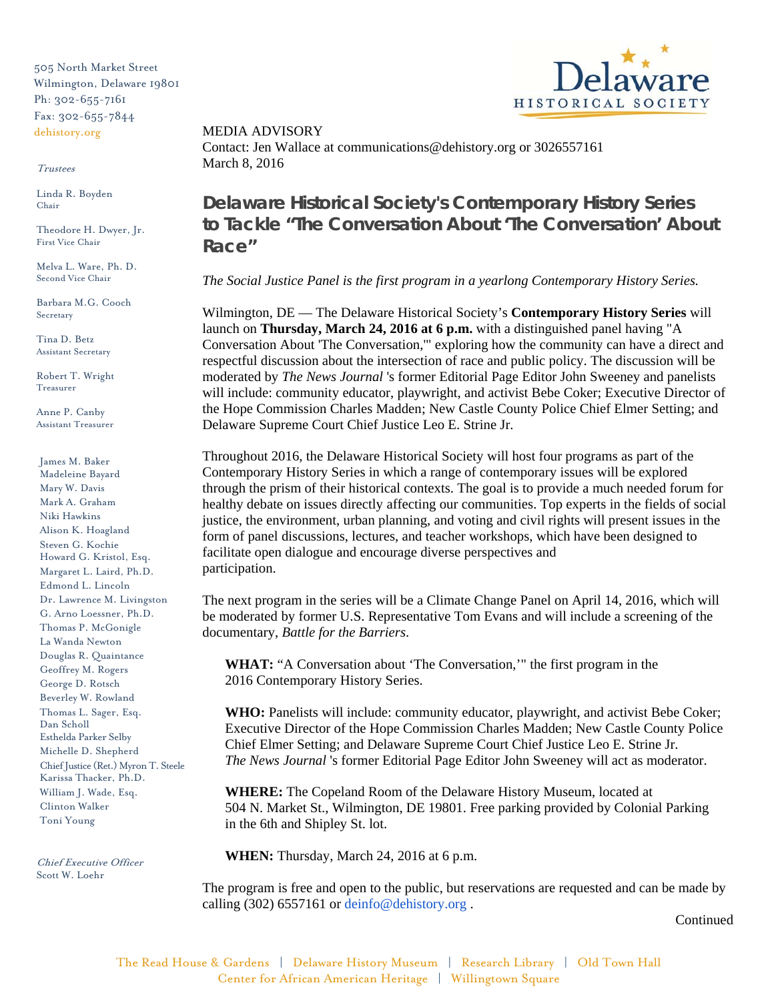505 North Market Street Wilmington, Delaware 19801 Ph: 302-655-7161 Fax: 302-655-7844 dehistory.org

## Trustees

Linda R. Boyden Chair

Theodore H. Dwyer, Jr. First Vice Chair

Melva L. Ware, Ph. D. Second Vice Chair

Barbara M.G. Cooch Secretary

Tina D. Betz Assistant Secretary

Robert T. Wright Treasurer

Anne P. Canby Assistant Treasurer

James M. Baker Madeleine Bayard Mary W. Davis Mark A. Graham Niki Hawkins Alison K. Hoagland Steven G. Kochie Howard G. Kristol, Esq. Margaret L. Laird, Ph.D. Edmond L. Lincoln Dr. Lawrence M. Livingston G. Arno Loessner, Ph.D. Thomas P. McGonigle La Wanda Newton Douglas R. Quaintance Geoffrey M. Rogers George D. Rotsch Beverley W. Rowland Thomas L. Sager, Esq. Dan Scholl Esthelda Parker Selby Michelle D. Shepherd Chief Justice (Ret.) Myron T. Steele Karissa Thacker, Ph.D. William J. Wade, Esq. Clinton Walker Toni Young

Chief Executive Officer Scott W. Loehr

HISTORICAL SOCIET

MEDIA ADVISORY Contact: Jen Wallace at communications@dehistory.org or 3026557161 March 8, 2016

**Delaware Historical Society's Contemporary History Series to Tackle "The Conversation About 'The Conversation' About Race"** 

*The Social Justice Panel is the first program in a yearlong Contemporary History Series.* 

Wilmington, DE — The Delaware Historical Society's **Contemporary History Series** will launch on **Thursday, March 24, 2016 at 6 p.m.** with a distinguished panel having "A Conversation About 'The Conversation,'" exploring how the community can have a direct and respectful discussion about the intersection of race and public policy. The discussion will be moderated by *The News Journal* 's former Editorial Page Editor John Sweeney and panelists will include: community educator, playwright, and activist Bebe Coker; Executive Director of the Hope Commission Charles Madden; New Castle County Police Chief Elmer Setting; and Delaware Supreme Court Chief Justice Leo E. Strine Jr.

Throughout 2016, the Delaware Historical Society will host four programs as part of the Contemporary History Series in which a range of contemporary issues will be explored through the prism of their historical contexts. The goal is to provide a much needed forum for healthy debate on issues directly affecting our communities. Top experts in the fields of social justice, the environment, urban planning, and voting and civil rights will present issues in the form of panel discussions, lectures, and teacher workshops, which have been designed to facilitate open dialogue and encourage diverse perspectives and participation.

The next program in the series will be a Climate Change Panel on April 14, 2016, which will be moderated by former U.S. Representative Tom Evans and will include a screening of the documentary, *Battle for the Barriers*.

**WHAT:** "A Conversation about 'The Conversation,'" the first program in the 2016 Contemporary History Series.

**WHO:** Panelists will include: community educator, playwright, and activist Bebe Coker; Executive Director of the Hope Commission Charles Madden; New Castle County Police Chief Elmer Setting; and Delaware Supreme Court Chief Justice Leo E. Strine Jr. *The News Journal* 's former Editorial Page Editor John Sweeney will act as moderator.

**WHERE:** The Copeland Room of the Delaware History Museum, located at 504 N. Market St., Wilmington, DE 19801. Free parking provided by Colonial Parking in the 6th and Shipley St. lot.

**WHEN:** Thursday, March 24, 2016 at 6 p.m.

The program is free and open to the public, but reservations are requested and can be made by calling (302) 6557161 or [deinfo@dehistory.org](mailto:deinfo@dehistory.org) .

Continued